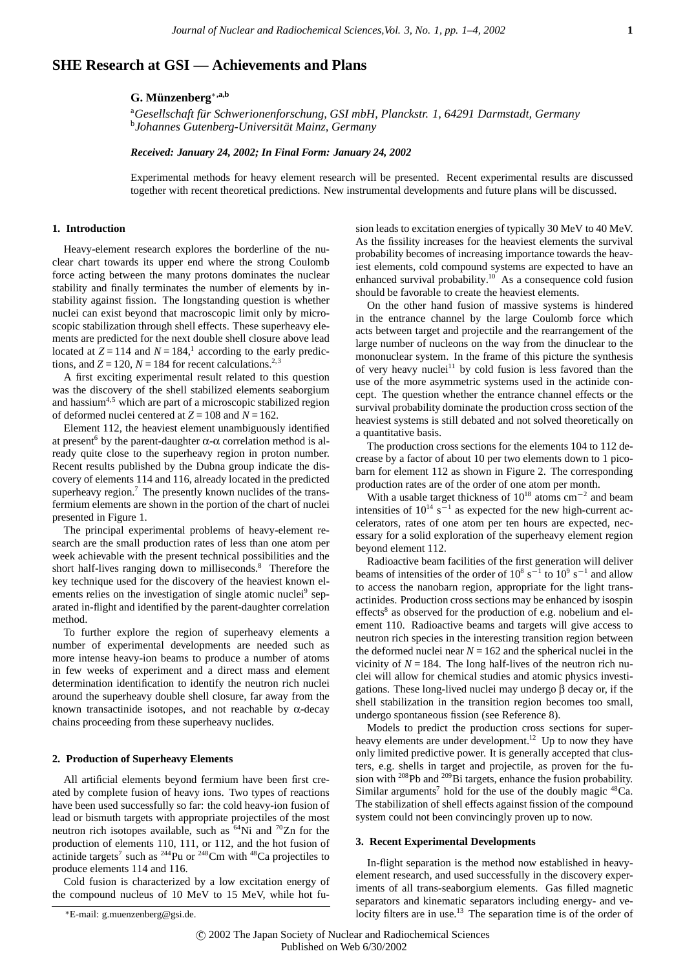# **SHE Research at GSI — Achievements and Plans**

# **G. M¨unzenberg**∗**,a,b**

<sup>a</sup>Gesellschaft für Schwerionenforschung, GSI mbH, Planckstr. 1, 64291 Darmstadt, Germany<br><sup>b</sup> Johannes Gutenberg, Universität Mainz, Germany *Johannes Gutenberg-Universitat Mainz, Germany ¨*

### *Received: January 24, 2002; In Final Form: January 24, 2002*

Experimental methods for heavy element research will be presented. Recent experimental results are discussed together with recent theoretical predictions. New instrumental developments and future plans will be discussed.

#### **1. Introduction**

Heavy-element research explores the borderline of the nuclear chart towards its upper end where the strong Coulomb force acting between the many protons dominates the nuclear stability and finally terminates the number of elements by instability against fission. The longstanding question is whether nuclei can exist beyond that macroscopic limit only by microscopic stabilization through shell effects. These superheavy elements are predicted for the next double shell closure above lead located at  $Z = 114$  and  $N = 184$ ,<sup>1</sup> according to the early predictions, and  $Z = 120$ ,  $N = 184$  for recent calculations.<sup>2,3</sup>

A first exciting experimental result related to this question was the discovery of the shell stabilized elements seaborgium and hassium<sup>4,5</sup> which are part of a microscopic stabilized region of deformed nuclei centered at  $Z = 108$  and  $N = 162$ .

Element 112, the heaviest element unambiguously identified at present<sup>6</sup> by the parent-daughter  $\alpha$ - $\alpha$  correlation method is already quite close to the superheavy region in proton number. Recent results published by the Dubna group indicate the discovery of elements 114 and 116, already located in the predicted superheavy region. $7$  The presently known nuclides of the transfermium elements are shown in the portion of the chart of nuclei presented in Figure 1.

The principal experimental problems of heavy-element research are the small production rates of less than one atom per week achievable with the present technical possibilities and the short half-lives ranging down to milliseconds.<sup>8</sup> Therefore the key technique used for the discovery of the heaviest known elements relies on the investigation of single atomic nuclei<sup>9</sup> separated in-flight and identified by the parent-daughter correlation method.

To further explore the region of superheavy elements a number of experimental developments are needed such as more intense heavy-ion beams to produce a number of atoms in few weeks of experiment and a direct mass and element determination identification to identify the neutron rich nuclei around the superheavy double shell closure, far away from the known transactinide isotopes, and not reachable by  $\alpha$ -decay chains proceeding from these superheavy nuclides.

#### **2. Production of Superheavy Elements**

All artificial elements beyond fermium have been first created by complete fusion of heavy ions. Two types of reactions have been used successfully so far: the cold heavy-ion fusion of lead or bismuth targets with appropriate projectiles of the most neutron rich isotopes available, such as <sup>64</sup>Ni and <sup>70</sup>Zn for the production of elements 110, 111, or 112, and the hot fusion of actinide targets<sup>7</sup> such as  $^{244}$ Pu or  $^{248}$ Cm with  $^{48}$ Ca projectiles to produce elements 114 and 116.

Cold fusion is characterized by a low excitation energy of the compound nucleus of 10 MeV to 15 MeV, while hot fusion leads to excitation energies of typically 30 MeV to 40 MeV. As the fissility increases for the heaviest elements the survival probability becomes of increasing importance towards the heaviest elements, cold compound systems are expected to have an enhanced survival probability.<sup>10</sup> As a consequence cold fusion should be favorable to create the heaviest elements.

On the other hand fusion of massive systems is hindered in the entrance channel by the large Coulomb force which acts between target and projectile and the rearrangement of the large number of nucleons on the way from the dinuclear to the mononuclear system. In the frame of this picture the synthesis of very heavy nuclei<sup>11</sup> by cold fusion is less favored than the use of the more asymmetric systems used in the actinide concept. The question whether the entrance channel effects or the survival probability dominate the production cross section of the heaviest systems is still debated and not solved theoretically on a quantitative basis.

The production cross sections for the elements 104 to 112 decrease by a factor of about 10 per two elements down to 1 picobarn for element 112 as shown in Figure 2. The corresponding production rates are of the order of one atom per month.

With a usable target thickness of 1018 atoms cm*−*<sup>2</sup> and beam intensities of 1014 s *<sup>−</sup>*<sup>1</sup> as expected for the new high-current accelerators, rates of one atom per ten hours are expected, necessary for a solid exploration of the superheavy element region beyond element 112.

Radioactive beam facilities of the first generation will deliver beams of intensities of the order of 10<sup>8</sup> s<sup>−1</sup> to 10<sup>9</sup> s<sup>−1</sup> and allow to access the nanobarn region, appropriate for the light transactinides. Production cross sections may be enhanced by isospin effects<sup>8</sup> as observed for the production of e.g. nobelium and element 110. Radioactive beams and targets will give access to neutron rich species in the interesting transition region between the deformed nuclei near  $N = 162$  and the spherical nuclei in the vicinity of  $N = 184$ . The long half-lives of the neutron rich nuclei will allow for chemical studies and atomic physics investigations. These long-lived nuclei may undergo β decay or, if the shell stabilization in the transition region becomes too small, undergo spontaneous fission (see Reference 8).

Models to predict the production cross sections for superheavy elements are under development.<sup>12</sup> Up to now they have only limited predictive power. It is generally accepted that clusters, e.g. shells in target and projectile, as proven for the fusion with  $^{208}$ Pb and  $^{209}$ Bi targets, enhance the fusion probability. Similar arguments<sup>7</sup> hold for the use of the doubly magic  $^{48}Ca$ . The stabilization of shell effects against fission of the compound system could not been convincingly proven up to now.

#### **3. Recent Experimental Developments**

In-flight separation is the method now established in heavyelement research, and used successfully in the discovery experiments of all trans-seaborgium elements. Gas filled magnetic separators and kinematic separators including energy- and velocity filters are in use.<sup>13</sup> The separation time is of the order of

<sup>∗</sup>E-mail: g.muenzenberg@gsi.de.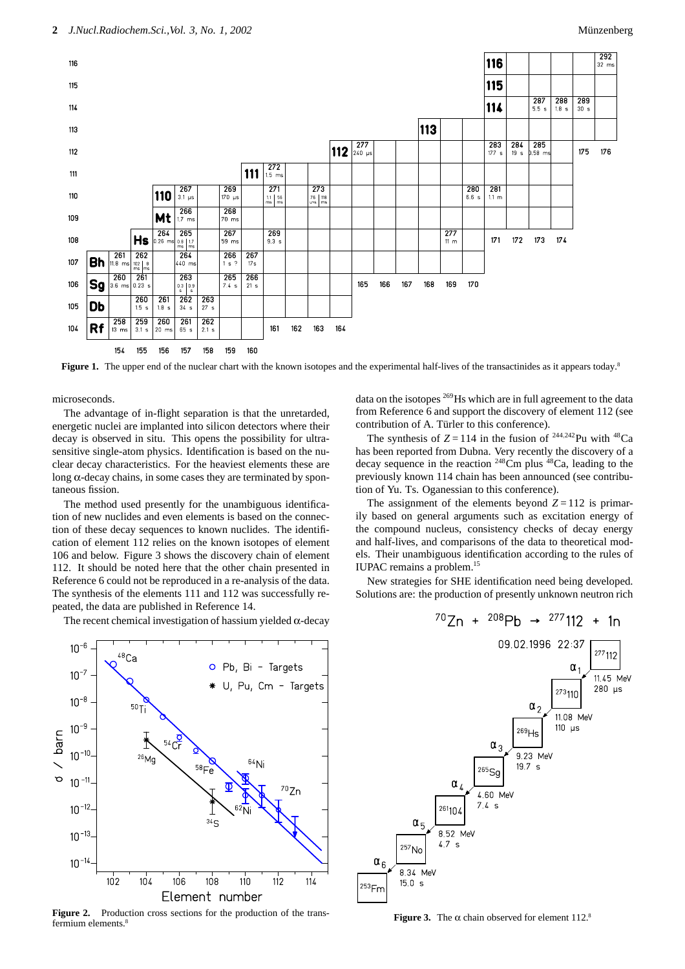

**Figure 1.** The upper end of the nuclear chart with the known isotopes and the experimental half-lives of the transactinides as it appears today.<sup>8</sup>

microseconds.

The advantage of in-flight separation is that the unretarded, energetic nuclei are implanted into silicon detectors where their decay is observed in situ. This opens the possibility for ultrasensitive single-atom physics. Identification is based on the nuclear decay characteristics. For the heaviest elements these are long α-decay chains, in some cases they are terminated by spontaneous fission.

The method used presently for the unambiguous identification of new nuclides and even elements is based on the connection of these decay sequences to known nuclides. The identification of element 112 relies on the known isotopes of element 106 and below. Figure 3 shows the discovery chain of element 112. It should be noted here that the other chain presented in Reference 6 could not be reproduced in a re-analysis of the data. The synthesis of the elements 111 and 112 was successfully repeated, the data are published in Reference 14.

The recent chemical investigation of hassium yielded  $\alpha$ -decay

 $10^{-6}$  $48$ Ca O Pb, Bi - Targets  $10^{-7}$ U, Pu, Cm - Targets  $10^{-8}$  $50T_1$  $10^{-9}$  $/$  barn  $\overline{\ast}$  $54 \frac{Q}{r}$  $10^{-10}$ 64<sub>Ni</sub>  $58Fe$  $10^{-11}$  $70Zn$  $10^{-12}$  $34<sub>S</sub>$  $10^{-13}$  $10^{-14}$  $10<sub>4</sub>$  $108$ 110  $114$  $102$ 106  $112$ Element number

Figure 2. Production cross sections for the production of the transfermium elements.<sup>8</sup>

data on the isotopes 269Hs which are in full agreement to the data from Reference 6 and support the discovery of element 112 (see contribution of A. Türler to this conference).

The synthesis of  $Z = 114$  in the fusion of <sup>244,242</sup>Pu with <sup>48</sup>Ca has been reported from Dubna. Very recently the discovery of a decay sequence in the reaction  $248$ Cm plus  $48$ Ca, leading to the previously known 114 chain has been announced (see contribution of Yu. Ts. Oganessian to this conference).

The assignment of the elements beyond  $Z = 112$  is primarily based on general arguments such as excitation energy of the compound nucleus, consistency checks of decay energy and half-lives, and comparisons of the data to theoretical models. Their unambiguous identification according to the rules of IUPAC remains a problem.15

New strategies for SHE identification need being developed. Solutions are: the production of presently unknown neutron rich



**Figure 3.** The  $\alpha$  chain observed for element 112.<sup>8</sup>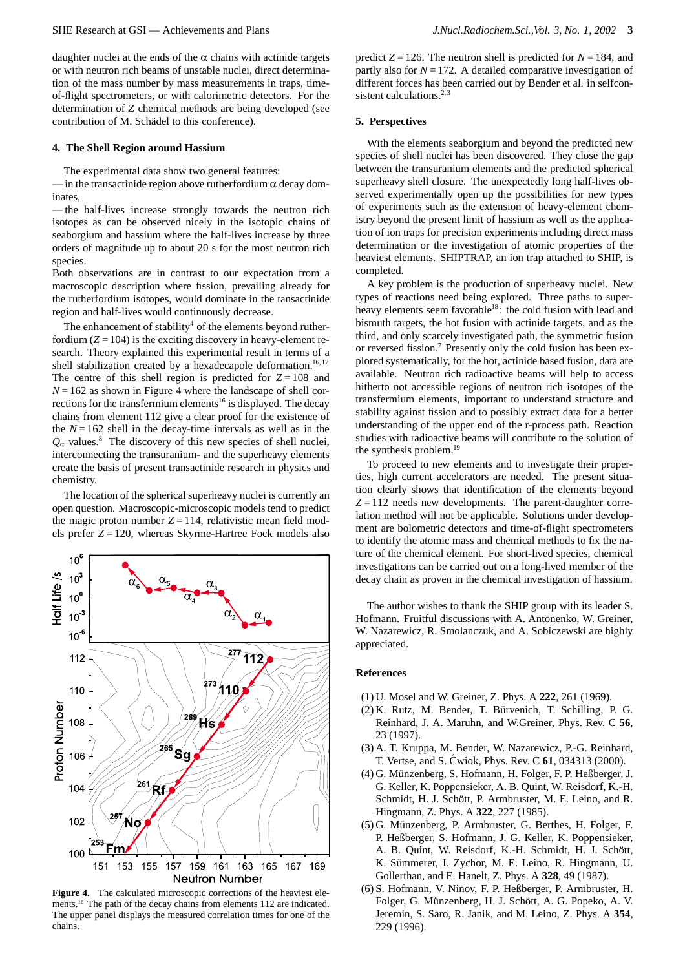daughter nuclei at the ends of the  $\alpha$  chains with actinide targets or with neutron rich beams of unstable nuclei, direct determination of the mass number by mass measurements in traps, timeof-flight spectrometers, or with calorimetric detectors. For the determination of *Z* chemical methods are being developed (see contribution of M. Schädel to this conference).

# **4. The Shell Region around Hassium**

The experimental data show two general features:

 $-$  in the transactinide region above rutherfordium  $\alpha$  decay dominates,

— the half-lives increase strongly towards the neutron rich isotopes as can be observed nicely in the isotopic chains of seaborgium and hassium where the half-lives increase by three orders of magnitude up to about 20 s for the most neutron rich species.

Both observations are in contrast to our expectation from a macroscopic description where fission, prevailing already for the rutherfordium isotopes, would dominate in the tansactinide region and half-lives would continuously decrease.

The enhancement of stability<sup>4</sup> of the elements beyond rutherfordium  $(Z = 104)$  is the exciting discovery in heavy-element research. Theory explained this experimental result in terms of a shell stabilization created by a hexadecapole deformation.<sup>16,17</sup> The centre of this shell region is predicted for  $Z = 108$  and  $N = 162$  as shown in Figure 4 where the landscape of shell corrections for the transfermium elements<sup>16</sup> is displayed. The decay chains from element 112 give a clear proof for the existence of the  $N = 162$  shell in the decay-time intervals as well as in the  $Q_{\alpha}$  values.<sup>8</sup> The discovery of this new species of shell nuclei, interconnecting the transuranium- and the superheavy elements create the basis of present transactinide research in physics and chemistry.

The location of the spherical superheavy nuclei is currently an open question. Macroscopic-microscopic models tend to predict the magic proton number  $Z = 114$ , relativistic mean field models prefer *Z* = 120, whereas Skyrme-Hartree Fock models also



**Figure 4.** The calculated microscopic corrections of the heaviest elements.16 The path of the decay chains from elements 112 are indicated. The upper panel displays the measured correlation times for one of the chains.

predict  $Z = 126$ . The neutron shell is predicted for  $N = 184$ , and partly also for  $N = 172$ . A detailed comparative investigation of different forces has been carried out by Bender et al. in selfconsistent calculations.<sup>2,3</sup>

#### **5. Perspectives**

With the elements seaborgium and beyond the predicted new species of shell nuclei has been discovered. They close the gap between the transuranium elements and the predicted spherical superheavy shell closure. The unexpectedly long half-lives observed experimentally open up the possibilities for new types of experiments such as the extension of heavy-element chemistry beyond the present limit of hassium as well as the application of ion traps for precision experiments including direct mass determination or the investigation of atomic properties of the heaviest elements. SHIPTRAP, an ion trap attached to SHIP, is completed.

A key problem is the production of superheavy nuclei. New types of reactions need being explored. Three paths to superheavy elements seem favorable<sup>18</sup>: the cold fusion with lead and bismuth targets, the hot fusion with actinide targets, and as the third, and only scarcely investigated path, the symmetric fusion or reversed fission.<sup>7</sup> Presently only the cold fusion has been explored systematically, for the hot, actinide based fusion, data are available. Neutron rich radioactive beams will help to access hitherto not accessible regions of neutron rich isotopes of the transfermium elements, important to understand structure and stability against fission and to possibly extract data for a better understanding of the upper end of the r-process path. Reaction studies with radioactive beams will contribute to the solution of the synthesis problem.<sup>19</sup>

To proceed to new elements and to investigate their properties, high current accelerators are needed. The present situation clearly shows that identification of the elements beyond  $Z = 112$  needs new developments. The parent-daughter correlation method will not be applicable. Solutions under development are bolometric detectors and time-of-flight spectrometers to identify the atomic mass and chemical methods to fix the nature of the chemical element. For short-lived species, chemical investigations can be carried out on a long-lived member of the decay chain as proven in the chemical investigation of hassium.

The author wishes to thank the SHIP group with its leader S. Hofmann. Fruitful discussions with A. Antonenko, W. Greiner, W. Nazarewicz, R. Smolanczuk, and A. Sobiczewski are highly appreciated.

# **References**

- (1) U. Mosel and W. Greiner, Z. Phys. A **222**, 261 (1969).
- (2) K. Rutz, M. Bender, T. Bürvenich, T. Schilling, P. G. Reinhard, J. A. Maruhn, and W.Greiner, Phys. Rev. C **56**, 23 (1997).
- (3) A. T. Kruppa, M. Bender, W. Nazarewicz, P.-G. Reinhard, T. Vertse, and S. Cwiok, Phys. Rev. C **61**, 034313 (2000).
- (4) G. Münzenberg, S. Hofmann, H. Folger, F. P. Heßberger, J. G. Keller, K. Poppensieker, A. B. Quint, W. Reisdorf, K.-H. Schmidt, H. J. Schött, P. Armbruster, M. E. Leino, and R. Hingmann, Z. Phys. A **322**, 227 (1985).
- (5) G. M¨unzenberg, P. Armbruster, G. Berthes, H. Folger, F. P. Heßberger, S. Hofmann, J. G. Keller, K. Poppensieker, A. B. Quint, W. Reisdorf, K.-H. Schmidt, H. J. Schött, K. Sümmerer, I. Zychor, M. E. Leino, R. Hingmann, U. Gollerthan, and E. Hanelt, Z. Phys. A **328**, 49 (1987).
- (6) S. Hofmann, V. Ninov, F. P. Heßberger, P. Armbruster, H. Folger, G. Münzenberg, H. J. Schött, A. G. Popeko, A. V. Jeremin, S. Saro, R. Janik, and M. Leino, Z. Phys. A **354**, 229 (1996).